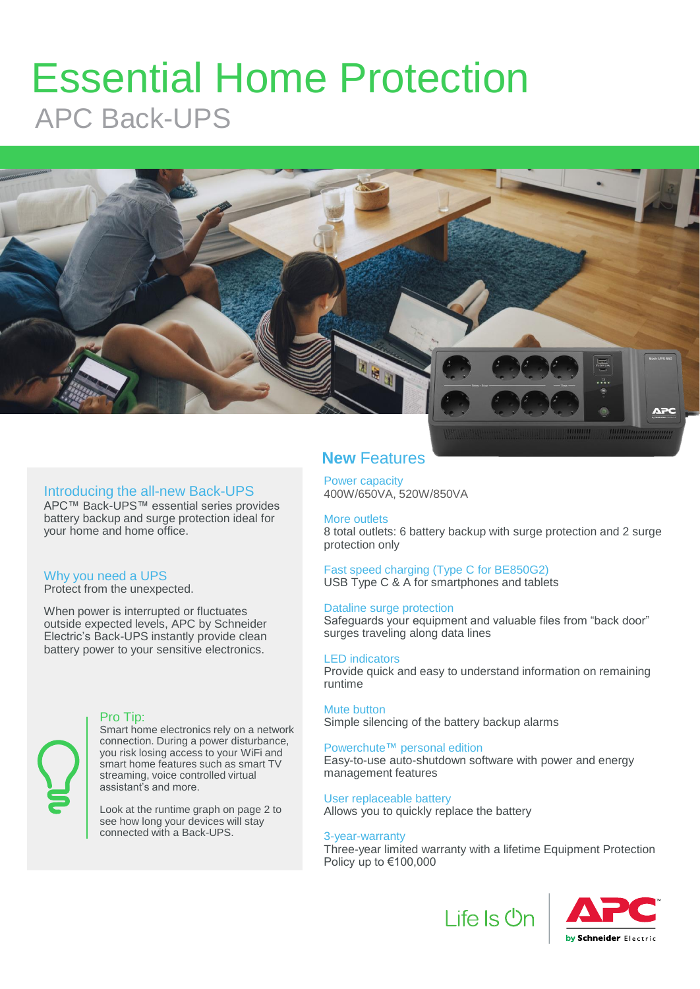## Essential Home Protection APC Back-UPS



#### Introducing the all-new Back-UPS

APC™ Back-UPS™ essential series provides battery backup and surge protection ideal for your home and home office.

#### Why you need a UPS

Protect from the unexpected.

When power is interrupted or fluctuates outside expected levels, APC by Schneider Electric's Back-UPS instantly provide clean battery power to your sensitive electronics.



#### Pro Tip:

Smart home electronics rely on a network connection. During a power disturbance, you risk losing access to your WiFi and smart home features such as smart TV streaming, voice controlled virtual assistant's and more.

Look at the runtime graph on page 2 to see how long your devices will stay connected with a Back-UPS.

#### **New** Features

Power capacity 400W/650VA, 520W/850VA

#### More outlets

8 total outlets: 6 battery backup with surge protection and 2 surge protection only

Fast speed charging (Type C for BE850G2) USB Type C & A for smartphones and tablets

#### Dataline surge protection

Safeguards your equipment and valuable files from "back door" surges traveling along data lines

#### LED indicators

Provide quick and easy to understand information on remaining runtime

#### Mute button

Simple silencing of the battery backup alarms

#### Powerchute™ personal edition

Easy-to-use auto-shutdown software with power and energy management features

#### User replaceable battery

Allows you to quickly replace the battery

#### 3-year-warranty

Three-year limited warranty with a lifetime Equipment Protection Policy up to €100,000

Life Is Un

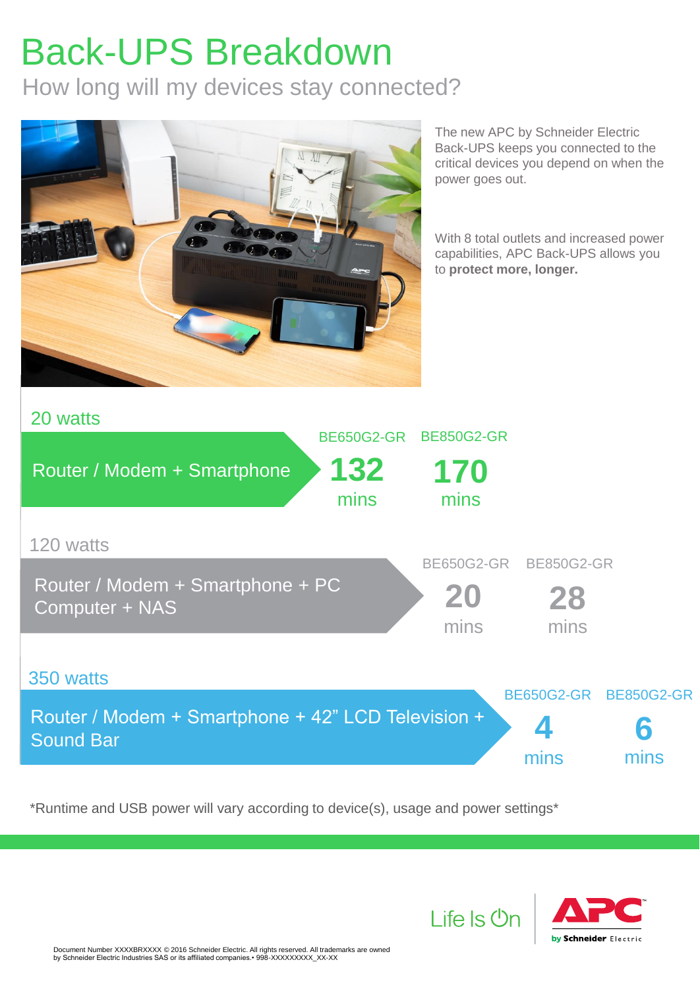# Back-UPS Breakdown

How long will my devices stay connected?



The new APC by Schneider Electric Back-UPS keeps you connected to the critical devices you depend on when the power goes out.

With 8 total outlets and increased power capabilities, APC Back-UPS allows you to **protect more, longer.** 



\*Runtime and USB power will vary according to device(s), usage and power settings\*



Life Is **Un**